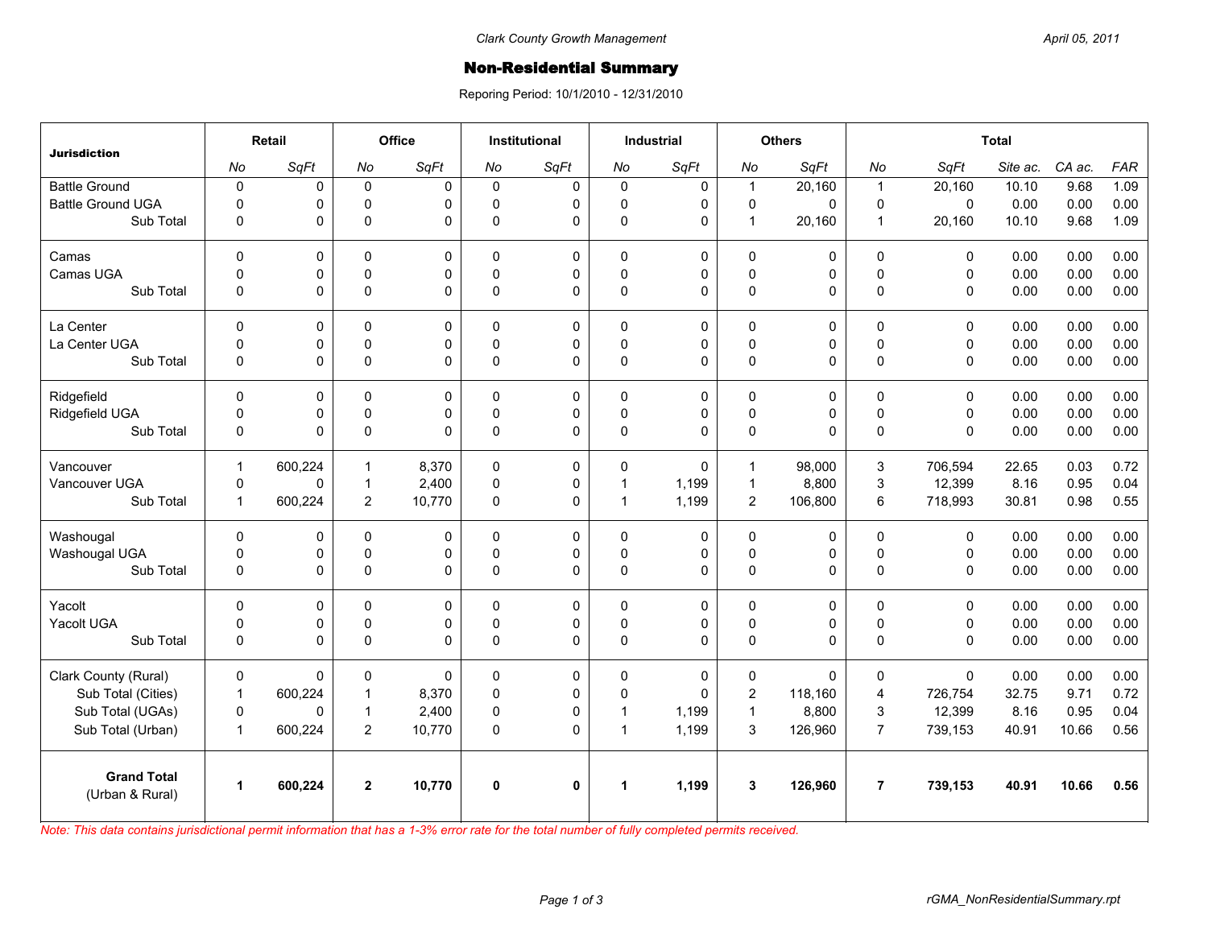## **Non-Residential Summary**

Reporing Period: 10/1/2010 - 12/31/2010

| <b>Jurisdiction</b>                   | Retail               |         | Office         |              | <b>Institutional</b> |              | <b>Industrial</b>    |             | <b>Others</b>  |             | <b>Total</b>   |             |          |        |            |
|---------------------------------------|----------------------|---------|----------------|--------------|----------------------|--------------|----------------------|-------------|----------------|-------------|----------------|-------------|----------|--------|------------|
|                                       | No                   | SqFt    | No             | SqFt         | No                   | SqFt         | No                   | SqFt        | No             | SqFt        | No             | SqFt        | Site ac. | CA ac. | <b>FAR</b> |
| <b>Battle Ground</b>                  | $\pmb{0}$            | 0       | $\mathbf 0$    | $\Omega$     | $\Omega$             | $\mathbf 0$  | $\mathbf 0$          | 0           | $\mathbf{1}$   | 20,160      | $\overline{1}$ | 20,160      | 10.10    | 9.68   | 1.09       |
| <b>Battle Ground UGA</b>              | $\Omega$             | 0       | $\mathbf 0$    | $\Omega$     | $\Omega$             | 0            | 0                    | $\mathbf 0$ | $\mathbf 0$    | $\Omega$    | $\mathbf 0$    | $\Omega$    | 0.00     | 0.00   | 0.00       |
| Sub Total                             | 0                    | 0       | $\Omega$       | $\Omega$     | $\Omega$             | 0            | 0                    | $\mathbf 0$ | $\mathbf{1}$   | 20,160      | $\overline{1}$ | 20,160      | 10.10    | 9.68   | 1.09       |
| Camas                                 | $\Omega$             | 0       | $\Omega$       | $\Omega$     | $\Omega$             | 0            | $\mathbf 0$          | $\mathbf 0$ | 0              | $\Omega$    | $\mathbf{0}$   | $\Omega$    | 0.00     | 0.00   | 0.00       |
| Camas UGA                             | $\mathbf 0$          | 0       | $\pmb{0}$      | 0            | $\Omega$             | 0            | 0                    | 0           | $\pmb{0}$      | 0           | $\pmb{0}$      | $\mathbf 0$ | 0.00     | 0.00   | 0.00       |
| Sub Total                             | $\mathbf{0}$         | 0       | $\pmb{0}$      | $\Omega$     | $\Omega$             | 0            | $\mathbf{0}$         | $\Omega$    | 0              | 0           | $\Omega$       | $\Omega$    | 0.00     | 0.00   | 0.00       |
| La Center                             | $\mathbf 0$          | 0       | $\mathbf 0$    | $\mathbf 0$  | $\mathbf{0}$         | 0            | $\mathbf 0$          | 0           | 0              | $\mathbf 0$ | $\mathbf 0$    | $\mathbf 0$ | 0.00     | 0.00   | 0.00       |
| La Center UGA                         | $\mathbf 0$          | 0       | $\mathbf 0$    | 0            | $\Omega$             | 0            | 0                    | $\mathbf 0$ | $\mathbf 0$    | 0           | $\mathbf 0$    | $\mathbf 0$ | 0.00     | 0.00   | 0.00       |
| Sub Total                             | $\mathbf 0$          | 0       | $\pmb{0}$      | $\mathbf 0$  | $\Omega$             | 0            | 0                    | $\mathbf 0$ | 0              | 0           | $\Omega$       | $\Omega$    | 0.00     | 0.00   | 0.00       |
| Ridgefield                            | $\Omega$             | 0       | 0              | $\Omega$     | $\Omega$             | 0            | $\mathbf 0$          | $\mathbf 0$ | 0              | 0           | $\mathbf{0}$   | $\Omega$    | 0.00     | 0.00   | 0.00       |
| Ridgefield UGA                        | $\pmb{0}$            | 0       | $\pmb{0}$      | 0            | $\mathbf{0}$         | 0            | 0                    | 0           | $\pmb{0}$      | 0           | $\pmb{0}$      | $\mathbf 0$ | 0.00     | 0.00   | 0.00       |
| Sub Total                             | 0                    | 0       | $\Omega$       | $\Omega$     | $\Omega$             | 0            | $\mathbf{0}$         | $\Omega$    | $\mathbf 0$    | 0           | $\Omega$       | $\Omega$    | 0.00     | 0.00   | 0.00       |
| Vancouver                             | $\mathbf{1}$         | 600,224 | $\mathbf{1}$   | 8,370        | $\Omega$             | 0            | $\Omega$             | $\Omega$    | $\mathbf{1}$   | 98.000      | 3              | 706.594     | 22.65    | 0.03   | 0.72       |
| Vancouver UGA                         | $\mathbf 0$          | 0       | $\overline{1}$ | 2,400        | $\mathbf{0}$         | 0            | $\mathbf{1}$         | 1,199       | $\mathbf{1}$   | 8,800       | 3              | 12,399      | 8.16     | 0.95   | 0.04       |
| Sub Total                             | $\mathbf{1}$         | 600,224 | $\overline{2}$ | 10,770       | $\Omega$             | 0            | $\mathbf{1}$         | 1,199       | $\overline{2}$ | 106,800     | 6              | 718,993     | 30.81    | 0.98   | 0.55       |
| Washougal                             | $\mathbf 0$          | 0       | 0              | 0            | 0                    | 0            | $\mathbf 0$          | 0           | 0              | 0           | $\pmb{0}$      | $\mathbf 0$ | 0.00     | 0.00   | 0.00       |
| Washougal UGA                         | $\mathbf 0$          | 0       | $\mathbf 0$    | 0            | $\Omega$             | 0            | 0                    | $\mathbf 0$ | $\mathbf 0$    | 0           | $\mathbf 0$    | $\mathbf 0$ | 0.00     | 0.00   | 0.00       |
| Sub Total                             | 0                    | 0       | $\pmb{0}$      | $\Omega$     | 0                    | 0            | 0                    | $\mathbf 0$ | $\mathsf 0$    | 0           | $\pmb{0}$      | $\mathbf 0$ | 0.00     | 0.00   | 0.00       |
| Yacolt                                | $\mathbf 0$          | 0       | $\mathbf 0$    | $\Omega$     | $\Omega$             | 0            | $\mathbf 0$          | $\mathbf 0$ | 0              | 0           | $\mathbf 0$    | $\Omega$    | 0.00     | 0.00   | 0.00       |
| Yacolt UGA                            | 0                    | 0       | 0              | 0            | $\Omega$             | 0            | 0                    | 0           | $\mathsf 0$    | 0           | 0              | 0           | 0.00     | 0.00   | 0.00       |
| Sub Total                             | $\mathbf{0}$         | 0       | $\Omega$       | $\Omega$     | $\Omega$             | 0            | $\mathbf{0}$         | $\Omega$    | 0              | $\Omega$    | $\Omega$       | $\Omega$    | 0.00     | 0.00   | 0.00       |
| Clark County (Rural)                  | $\pmb{0}$            | 0       | $\pmb{0}$      | $\mathbf{0}$ | 0                    | 0            | $\mathbf 0$          | 0           | 0              | $\mathbf 0$ | $\mathbf 0$    | $\Omega$    | 0.00     | 0.00   | 0.00       |
| Sub Total (Cities)                    | $\mathbf{1}$         | 600,224 | $\mathbf{1}$   | 8,370        | $\Omega$             | 0            | 0                    | $\Omega$    | $\overline{c}$ | 118,160     | $\overline{4}$ | 726,754     | 32.75    | 9.71   | 0.72       |
| Sub Total (UGAs)                      | $\mathbf 0$          | 0       | $\mathbf{1}$   | 2,400        | 0                    | 0            | $\overline{1}$       | 1,199       | $\mathbf{1}$   | 8,800       | 3              | 12,399      | 8.16     | 0.95   | 0.04       |
| Sub Total (Urban)                     | $\mathbf{1}$         | 600,224 | $\overline{c}$ | 10,770       | 0                    | 0            | $\mathbf{1}$         | 1,199       | 3              | 126,960     | $\overline{7}$ | 739,153     | 40.91    | 10.66  | 0.56       |
| <b>Grand Total</b><br>(Urban & Rural) | $\blacktriangleleft$ | 600,224 | $\overline{2}$ | 10,770       | $\mathbf 0$          | $\mathbf{0}$ | $\blacktriangleleft$ | 1,199       | 3              | 126,960     | $\overline{7}$ | 739,153     | 40.91    | 10.66  | 0.56       |
|                                       |                      |         |                |              |                      |              |                      |             |                |             |                |             |          |        |            |

*Note: This data contains jurisdictional permit information that has a 1-3% error rate for the total number of fully completed permits received.*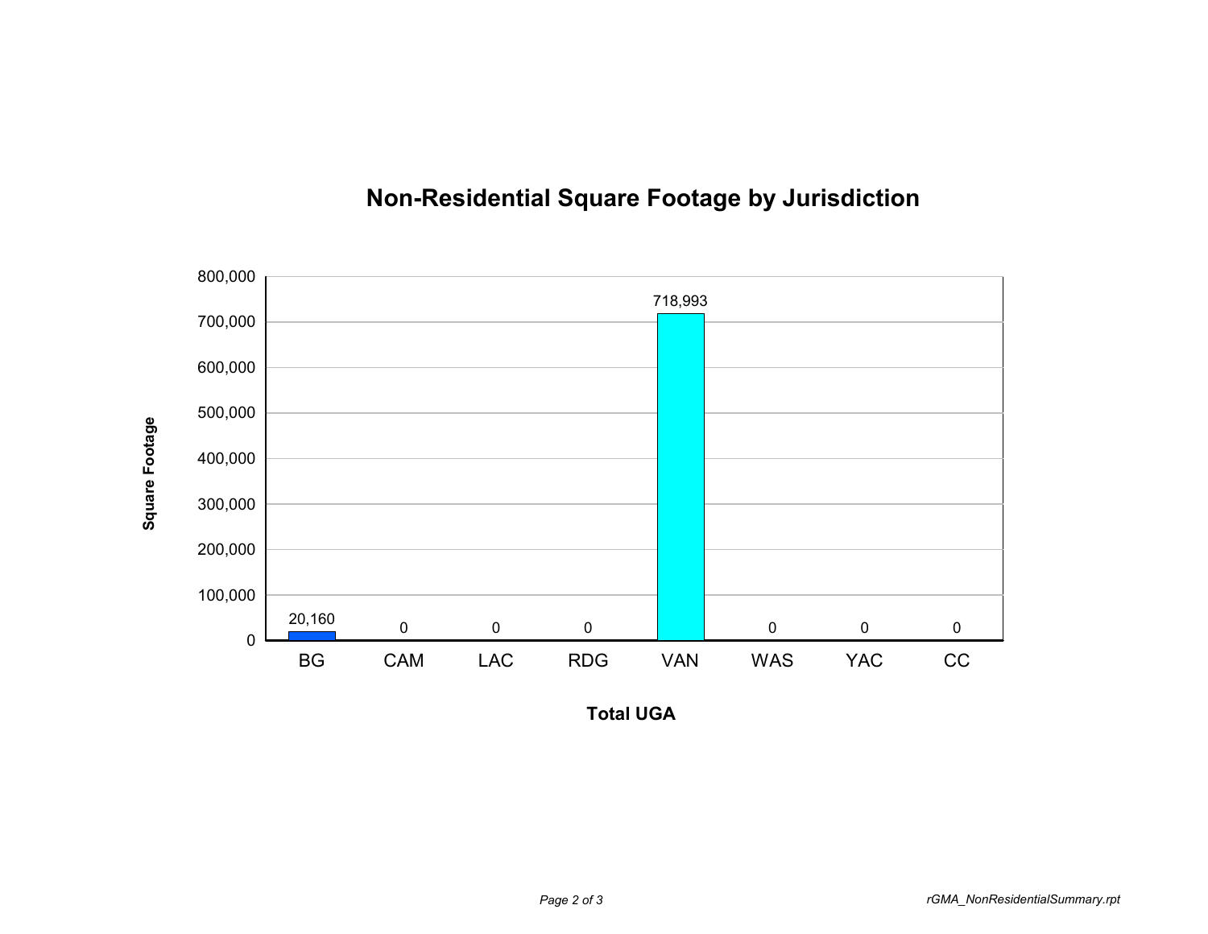

## **Non-Residential Square Footage by Jurisdiction**

**Total UGA**